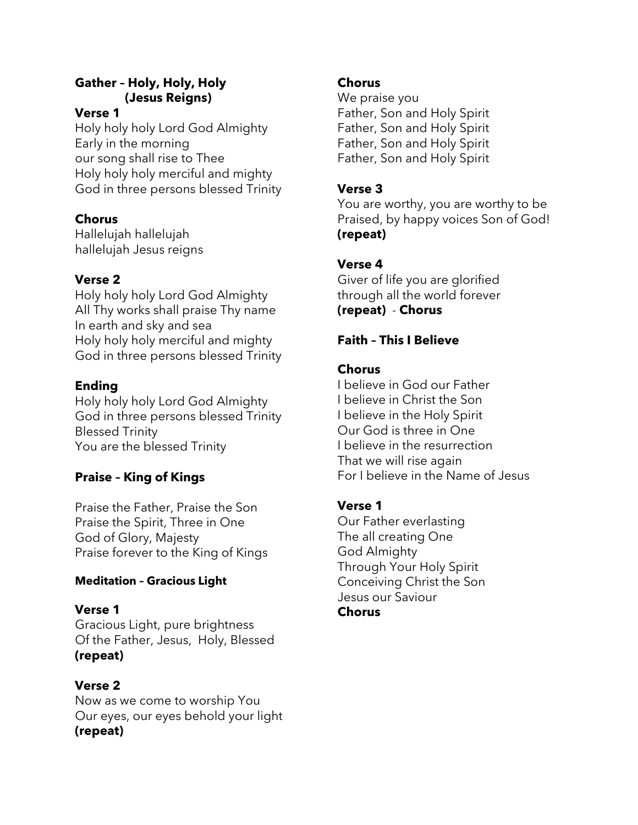# **Gather – Holy, Holy, Holy (Jesus Reigns)**

### **Verse 1**

Holy holy holy Lord God Almighty Early in the morning our song shall rise to Thee Holy holy holy merciful and mighty God in three persons blessed Trinity

## **Chorus**

Hallelujah hallelujah hallelujah Jesus reigns

# **Verse 2**

Holy holy holy Lord God Almighty All Thy works shall praise Thy name In earth and sky and sea Holy holy holy merciful and mighty God in three persons blessed Trinity

# **Ending**

Holy holy holy Lord God Almighty God in three persons blessed Trinity Blessed Trinity You are the blessed Trinity

# **Praise – King of Kings**

Praise the Father, Praise the Son Praise the Spirit, Three in One God of Glory, Majesty Praise forever to the King of Kings

## **Meditation – Gracious Light**

## **Verse 1**

Gracious Light, pure brightness Of the Father, Jesus, Holy, Blessed **(repeat)**

## **Verse 2** Now as we come to worship You Our eyes, our eyes behold your light **(repeat)**

## **Chorus**

We praise you Father, Son and Holy Spirit Father, Son and Holy Spirit Father, Son and Holy Spirit Father, Son and Holy Spirit

# **Verse 3**

You are worthy, you are worthy to be Praised, by happy voices Son of God! **(repeat)**

# **Verse 4**

Giver of life you are glorified through all the world forever **(repeat)** - **Chorus**

# **Faith – This I Believe**

## **Chorus**

I believe in God our Father I believe in Christ the Son I believe in the Holy Spirit Our God is three in One I believe in the resurrection That we will rise again For I believe in the Name of Jesus

## **Verse 1**

Our Father everlasting The all creating One God Almighty Through Your Holy Spirit Conceiving Christ the Son Jesus our Saviour **Chorus**